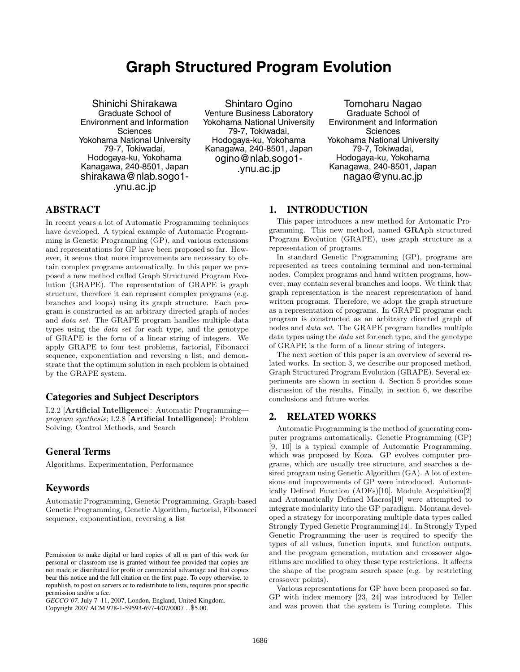# **Graph Structured Program Evolution**

Shinichi Shirakawa Graduate School of Environment and Information Sciences Yokohama National University 79-7, Tokiwadai, Hodogaya-ku, Yokohama Kanagawa, 240-8501, Japan shirakawa@nlab.sogo1- .ynu.ac.jp

Shintaro Ogino Venture Business Laboratory Yokohama National University 79-7, Tokiwadai, Hodogaya-ku, Yokohama Kanagawa, 240-8501, Japan ogino@nlab.sogo1- .ynu.ac.jp

Tomoharu Nagao Graduate School of Environment and Information Sciences Yokohama National University 79-7, Tokiwadai, Hodogaya-ku, Yokohama Kanagawa, 240-8501, Japan nagao@ynu.ac.jp

# **ABSTRACT**

In recent years a lot of Automatic Programming techniques have developed. A typical example of Automatic Programming is Genetic Programming (GP), and various extensions and representations for GP have been proposed so far. However, it seems that more improvements are necessary to obtain complex programs automatically. In this paper we proposed a new method called Graph Structured Program Evolution (GRAPE). The representation of GRAPE is graph structure, therefore it can represent complex programs (e.g. branches and loops) using its graph structure. Each program is constructed as an arbitrary directed graph of nodes and *data set*. The GRAPE program handles multiple data types using the *data set* for each type, and the genotype of GRAPE is the form of a linear string of integers. We apply GRAPE to four test problems, factorial, Fibonacci sequence, exponentiation and reversing a list, and demonstrate that the optimum solution in each problem is obtained by the GRAPE system.

# **Categories and Subject Descriptors**

I.2.2 [**Artificial Intelligence**]: Automatic Programming *program synthesis*; I.2.8 [**Artificial Intelligence**]: Problem Solving, Control Methods, and Search

# **General Terms**

Algorithms, Experimentation, Performance

# **Keywords**

Automatic Programming, Genetic Programming, Graph-based Genetic Programming, Genetic Algorithm, factorial, Fibonacci sequence, exponentiation, reversing a list

*GECCO'07,* July 7–11, 2007, London, England, United Kingdom. Copyright 2007 ACM 978-1-59593-697-4/07/0007 ...\$5.00.

# **1. INTRODUCTION**

This paper introduces a new method for Automatic Programming. This new method, named **GRA**ph structured **P**rogram **E**volution (GRAPE), uses graph structure as a representation of programs.

In standard Genetic Programming (GP), programs are represented as trees containing terminal and non-terminal nodes. Complex programs and hand written programs, however, may contain several branches and loops. We think that graph representation is the nearest representation of hand written programs. Therefore, we adopt the graph structure as a representation of programs. In GRAPE programs each program is constructed as an arbitrary directed graph of nodes and *data set*. The GRAPE program handles multiple data types using the *data set* for each type, and the genotype of GRAPE is the form of a linear string of integers.

The next section of this paper is an overview of several related works. In section 3, we describe our proposed method, Graph Structured Program Evolution (GRAPE). Several experiments are shown in section 4. Section 5 provides some discussion of the results. Finally, in section 6, we describe conclusions and future works.

# **2. RELATED WORKS**

Automatic Programming is the method of generating computer programs automatically. Genetic Programming (GP) [9, 10] is a typical example of Automatic Programming, which was proposed by Koza. GP evolves computer programs, which are usually tree structure, and searches a desired program using Genetic Algorithm (GA). A lot of extensions and improvements of GP were introduced. Automatically Defined Function (ADFs)[10], Module Acquisition[2] and Automatically Defined Macros[19] were attempted to integrate modularity into the GP paradigm. Montana developed a strategy for incorporating multiple data types called Strongly Typed Genetic Programming[14]. In Strongly Typed Genetic Programming the user is required to specify the types of all values, function inputs, and function outputs, and the program generation, mutation and crossover algorithms are modified to obey these type restrictions. It affects the shape of the program search space (e.g. by restricting crossover points).

Various representations for GP have been proposed so far. GP with index memory [23, 24] was introduced by Teller and was proven that the system is Turing complete. This

Permission to make digital or hard copies of all or part of this work for personal or classroom use is granted without fee provided that copies are not made or distributed for profit or commercial advantage and that copies bear this notice and the full citation on the first page. To copy otherwise, to republish, to post on servers or to redistribute to lists, requires prior specific permission and/or a fee.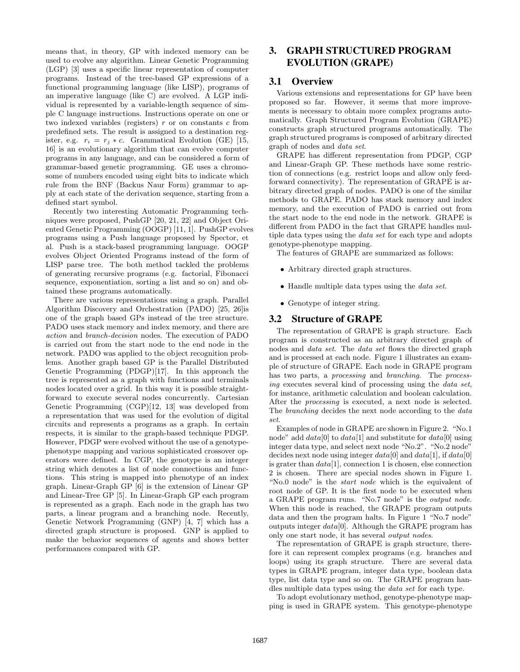means that, in theory, GP with indexed memory can be used to evolve any algorithm. Linear Genetic Programming (LGP) [3] uses a specific linear representation of computer programs. Instead of the tree-based GP expressions of a functional programming language (like LISP), programs of an imperative language (like C) are evolved. A LGP individual is represented by a variable-length sequence of simple C language instructions. Instructions operate on one or two indexed variables (registers) *r* or on constants *c* from predefined sets. The result is assigned to a destination register, e.g.  $r_i = r_j * c$ . Grammatical Evolution (GE) [15, 16] is an evolutionary algorithm that can evolve computer programs in any language, and can be considered a form of grammar-based genetic programming. GE uses a chromosome of numbers encoded using eight bits to indicate which rule from the BNF (Backus Naur Form) grammar to apply at each state of the derivation sequence, starting from a defined start symbol.

Recently two interesting Automatic Programming techniques were proposed, PushGP [20, 21, 22] and Object Oriented Genetic Programming (OOGP) [11, 1]. PushGP evolves programs using a Push language proposed by Spector, et al. Push is a stack-based programming language. OOGP evolves Object Oriented Programs instead of the form of LISP parse tree. The both method tackled the problems of generating recursive programs (e.g. factorial, Fibonacci sequence, exponentiation, sorting a list and so on) and obtained these programs automatically.

There are various representations using a graph. Parallel Algorithm Discovery and Orchestration (PADO) [25, 26]is one of the graph based GPs instead of the tree structure. PADO uses stack memory and index memory, and there are *action* and *branch-decision* nodes. The execution of PADO is carried out from the start node to the end node in the network. PADO was applied to the object recognition problems. Another graph based GP is the Parallel Distributed Genetic Programming (PDGP)[17]. In this approach the tree is represented as a graph with functions and terminals nodes located over a grid. In this way it is possible straightforward to execute several nodes concurrently. Cartesian Genetic Programming (CGP)[12, 13] was developed from a representation that was used for the evolution of digital circuits and represents a programs as a graph. In certain respects, it is similar to the graph-based technique PDGP. However, PDGP were evolved without the use of a genotypephenotype mapping and various sophisticated crossover operators were defined. In CGP, the genotype is an integer string which denotes a list of node connections and functions. This string is mapped into phenotype of an index graph. Linear-Graph GP [6] is the extension of Linear GP and Linear-Tree GP [5]. In Linear-Graph GP each program is represented as a graph. Each node in the graph has two parts, a linear program and a branching node. Recently, Genetic Network Programming (GNP) [4, 7] which has a directed graph structure is proposed. GNP is applied to make the behavior sequences of agents and shows better performances compared with GP.

# **3. GRAPH STRUCTURED PROGRAM EVOLUTION (GRAPE)**

#### **3.1 Overview**

Various extensions and representations for GP have been proposed so far. However, it seems that more improvements is necessary to obtain more complex programs automatically. Graph Structured Program Evolution (GRAPE) constructs graph structured programs automatically. The graph structured programs is composed of arbitrary directed graph of nodes and *data set*.

GRAPE has different representation from PDGP, CGP and Linear-Graph GP. These methods have some restriction of connections (e.g. restrict loops and allow only feedforward connectivity). The representation of GRAPE is arbitrary directed graph of nodes. PADO is one of the similar methods to GRAPE. PADO has stack memory and index memory, and the execution of PADO is carried out from the start node to the end node in the network. GRAPE is different from PADO in the fact that GRAPE handles multiple data types using the *data set* for each type and adopts genotype-phenotype mapping.

The features of GRAPE are summarized as follows:

- Arbitrary directed graph structures.
- Handle multiple data types using the *data set*.
- Genotype of integer string.

#### **3.2 Structure of GRAPE**

The representation of GRAPE is graph structure. Each program is constructed as an arbitrary directed graph of nodes and *data set*. The *data set* flows the directed graph and is processed at each node. Figure 1 illustrates an example of structure of GRAPE. Each node in GRAPE program has two parts, a *processing* and *branching*. The *processing* executes several kind of processing using the *data set*, for instance, arithmetic calculation and boolean calculation. After the *processing* is executed, a next node is selected. The *branching* decides the next node according to the *data set*.

Examples of node in GRAPE are shown in Figure 2. "No.1 node" add *data*[0] to *data*[1] and substitute for *data*[0] using integer data type, and select next node "No.2". "No.2 node" decides next node using integer *data*[0] and *data*[1], if *data*[0] is grater than *data*[1], connection 1 is chosen, else connection 2 is chosen. There are special nodes shown in Figure 1. "No.0 node" is the *start node* which is the equivalent of root node of GP. It is the first node to be executed when a GRAPE program runs. "No.7 node" is the *output node*. When this node is reached, the GRAPE program outputs data and then the program halts. In Figure 1 "No.7 node" outputs integer *data*[0]. Although the GRAPE program has only one start node, it has several *output nodes*.

The representation of GRAPE is graph structure, therefore it can represent complex programs (e.g. branches and loops) using its graph structure. There are several data types in GRAPE program, integer data type, boolean data type, list data type and so on. The GRAPE program handles multiple data types using the *data set* for each type.

To adopt evolutionary method, genotype-phenotype mapping is used in GRAPE system. This genotype-phenotype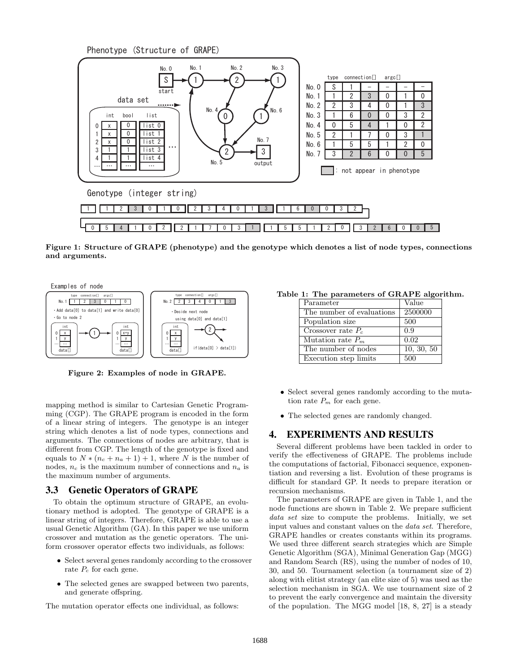Phenotype (Structure of GRAPE)



**Figure 1: Structure of GRAPE (phenotype) and the genotype which denotes a list of node types, connections and arguments.**



**Figure 2: Examples of node in GRAPE.**

mapping method is similar to Cartesian Genetic Programming (CGP). The GRAPE program is encoded in the form of a linear string of integers. The genotype is an integer string which denotes a list of node types, connections and arguments. The connections of nodes are arbitrary, that is different from CGP. The length of the genotype is fixed and equals to  $N * (n_c + n_a + 1) + 1$ , where *N* is the number of nodes,  $n_c$  is the maximum number of connections and  $n_a$  is the maximum number of arguments.

#### **3.3 Genetic Operators of GRAPE**

To obtain the optimum structure of GRAPE, an evolutionary method is adopted. The genotype of GRAPE is a linear string of integers. Therefore, GRAPE is able to use a usual Genetic Algorithm (GA). In this paper we use uniform crossover and mutation as the genetic operators. The uniform crossover operator effects two individuals, as follows:

- Select several genes randomly according to the crossover rate  $P_c$  for each gene.
- The selected genes are swapped between two parents, and generate offspring.

The mutation operator effects one individual, as follows:

**Table 1: The parameters of GRAPE algorithm.**

| Parameter                 | Value                    |
|---------------------------|--------------------------|
| The number of evaluations | 2500000                  |
| Population size           | 500                      |
| Crossover rate $P_c$      | 0.9                      |
| Mutation rate $P_m$       | 0.02                     |
| The number of nodes       | $\overline{10}$ , 30, 50 |
| Execution step limits     | 500                      |

- Select several genes randomly according to the mutation rate  $P_m$  for each gene.
- The selected genes are randomly changed.

# **4. EXPERIMENTS AND RESULTS**

Several different problems have been tackled in order to verify the effectiveness of GRAPE. The problems include the computations of factorial, Fibonacci sequence, exponentiation and reversing a list. Evolution of these programs is difficult for standard GP. It needs to prepare iteration or recursion mechanisms.

The parameters of GRAPE are given in Table 1, and the node functions are shown in Table 2. We prepare sufficient *data set* size to compute the problems. Initially, we set input values and constant values on the *data set*. Therefore, GRAPE handles or creates constants within its programs. We used three different search strategies which are Simple Genetic Algorithm (SGA), Minimal Generation Gap (MGG) and Random Search (RS), using the number of nodes of 10, 30, and 50. Tournament selection (a tournament size of 2) along with elitist strategy (an elite size of 5) was used as the selection mechanism in SGA. We use tournament size of 2 to prevent the early convergence and maintain the diversity of the population. The MGG model [18, 8, 27] is a steady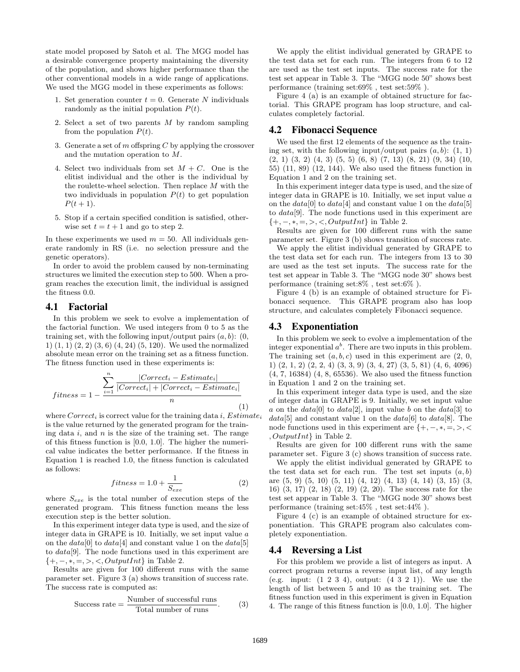state model proposed by Satoh et al. The MGG model has a desirable convergence property maintaining the diversity of the population, and shows higher performance than the other conventional models in a wide range of applications. We used the MGG model in these experiments as follows:

- 1. Set generation counter  $t = 0$ . Generate N individuals randomly as the initial population  $P(t)$ .
- 2. Select a set of two parents *M* by random sampling from the population  $P(t)$ .
- 3. Generate a set of *m* offspring *C* by applying the crossover and the mutation operation to *M*.
- 4. Select two individuals from set  $M + C$ . One is the elitist individual and the other is the individual by the roulette-wheel selection. Then replace *M* with the two individuals in population  $P(t)$  to get population  $P(t + 1)$ .
- 5. Stop if a certain specified condition is satisfied, otherwise set  $t = t + 1$  and go to step 2.

In these experiments we used  $m = 50$ . All individuals generate randomly in RS (i.e. no selection pressure and the genetic operators).

In order to avoid the problem caused by non-terminating structures we limited the execution step to 500. When a program reaches the execution limit, the individual is assigned the fitness 0.0.

#### **4.1 Factorial**

In this problem we seek to evolve a implementation of the factorial function. We used integers from 0 to 5 as the training set, with the following input/output pairs  $(a, b)$ :  $(0, b)$ 1) (1, 1) (2, 2) (3, 6) (4, 24) (5, 120). We used the normalized absolute mean error on the training set as a fitness function. The fitness function used in these experiments is:

$$
fitness = 1 - \frac{\sum_{i=1}^{n} \frac{|Correct_i - Estimate_i|}{|Correct_i| + |Correct_i - Estimate_i|}}{n}
$$
\n(1)

where *Correct<sup>i</sup>* is correct value for the training data *i*, *Estimate<sup>i</sup>* is the value returned by the generated program for the training data *i*, and *n* is the size of the training set. The range of this fitness function is [0.0, 1.0]. The higher the numerical value indicates the better performance. If the fitness in Equation 1 is reached 1.0, the fitness function is calculated as follows:

$$
fitness = 1.0 + \frac{1}{S_{exe}} \tag{2}
$$

where *Sexe* is the total number of execution steps of the generated program. This fitness function means the less execution step is the better solution.

In this experiment integer data type is used, and the size of integer data in GRAPE is 10. Initially, we set input value *a* on the *data*[0] to *data*[4] and constant value 1 on the *data*[5] to *data*[9]. The node functions used in this experiment are {+*,* −*,* ∗*,* =*, >, <, OutputInt*} in Table 2.

Results are given for 100 different runs with the same parameter set. Figure 3 (a) shows transition of success rate. The success rate is computed as:

$$
Success rate = \frac{Number of successful runs}{Total number of runs}.
$$
 (3)

We apply the elitist individual generated by GRAPE to the test data set for each run. The integers from 6 to 12 are used as the test set inputs. The success rate for the test set appear in Table 3. The "MGG node 50" shows best performance (training set:69% , test set:59% ).

Figure 4 (a) is an example of obtained structure for factorial. This GRAPE program has loop structure, and calculates completely factorial.

# **4.2 Fibonacci Sequence**

We used the first 12 elements of the sequence as the training set, with the following input/output pairs  $(a, b)$ :  $(1, 1)$ (2, 1) (3, 2) (4, 3) (5, 5) (6, 8) (7, 13) (8, 21) (9, 34) (10, 55) (11, 89) (12, 144). We also used the fitness function in Equation 1 and 2 on the training set.

In this experiment integer data type is used, and the size of integer data in GRAPE is 10. Initially, we set input value *a* on the *data*[0] to *data*[4] and constant value 1 on the *data*[5] to *data*[9]. The node functions used in this experiment are {+*,* −*,* ∗*,* =*, >, <, OutputInt*} in Table 2.

Results are given for 100 different runs with the same parameter set. Figure 3 (b) shows transition of success rate.

We apply the elitist individual generated by GRAPE to the test data set for each run. The integers from 13 to 30 are used as the test set inputs. The success rate for the test set appear in Table 3. The "MGG node 30" shows best performance (training set:8% , test set:6% ).

Figure 4 (b) is an example of obtained structure for Fibonacci sequence. This GRAPE program also has loop structure, and calculates completely Fibonacci sequence.

#### **4.3 Exponentiation**

In this problem we seek to evolve a implementation of the integer exponential  $a^b$ . There are two inputs in this problem. The training set  $(a, b, c)$  used in this experiment are  $(2, 0, 0)$ 1) (2, 1, 2) (2, 2, 4) (3, 3, 9) (3, 4, 27) (3, 5, 81) (4, 6, 4096) (4, 7, 16384) (4, 8, 65536). We also used the fitness function in Equation 1 and 2 on the training set.

In this experiment integer data type is used, and the size of integer data in GRAPE is 9. Initially, we set input value *a* on the *data*[0] to *data*[2], input value *b* on the *data*[3] to *data*[5] and constant value 1 on the *data*[6] to *data*[8]. The node functions used in this experiment are {+*,* −*,* ∗*,* =*, >, < , OutputInt*} in Table 2.

Results are given for 100 different runs with the same parameter set. Figure 3 (c) shows transition of success rate.

We apply the elitist individual generated by GRAPE to the test data set for each run. The test set inputs  $(a, b)$ are (5, 9) (5, 10) (5, 11) (4, 12) (4, 13) (4, 14) (3, 15) (3, 16) (3, 17) (2, 18) (2, 19) (2, 20). The success rate for the test set appear in Table 3. The "MGG node 30" shows best performance (training set:45% , test set:44% ).

Figure 4 (c) is an example of obtained structure for exponentiation. This GRAPE program also calculates completely exponentiation.

#### **4.4 Reversing a List**

For this problem we provide a list of integers as input. A correct program returns a reverse input list, of any length (e.g. input:  $(1\ 2\ 3\ 4)$ , output:  $(4\ 3\ 2\ 1)$ ). We use the length of list between 5 and 10 as the training set. The fitness function used in this experiment is given in Equation 4. The range of this fitness function is [0.0, 1.0]. The higher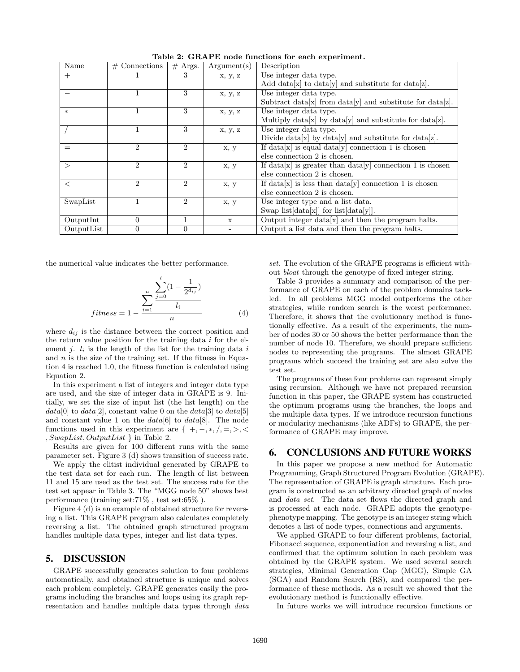| Name       | $#$ Connections | $# \, \text{Args.}$         | Argument(s) | Description                                                            |  |  |
|------------|-----------------|-----------------------------|-------------|------------------------------------------------------------------------|--|--|
| $^{+}$     |                 | 3                           | x, y, z     | Use integer data type.                                                 |  |  |
|            |                 |                             |             | Add data[x] to data[y] and substitute for data[z].                     |  |  |
|            |                 | 3                           | x, y, z     | Use integer data type.                                                 |  |  |
|            |                 |                             |             | Subtract data[x] from data[y] and substitute for data[z].              |  |  |
| $\ast$     | 1               | 3                           | x, y, z     | Use integer data type.                                                 |  |  |
|            |                 |                             |             | Multiply data [x] by data [y] and substitute for data [z].             |  |  |
|            |                 | 3                           | x, y, z     | Use integer data type.                                                 |  |  |
|            |                 |                             |             | Divide data[x] by data[y] and substitute for data[z].                  |  |  |
| $=$        | $\overline{2}$  | $\mathcal{D}_{\mathcal{L}}$ | x, y        | If data $[x]$ is equal data $[y]$ connection 1 is chosen               |  |  |
|            |                 |                             |             | else connection 2 is chosen.                                           |  |  |
| $\rm{>}$   | $\overline{2}$  | $\mathcal{D}_{\mathcal{L}}$ | x, y        | If data $[x]$ is greater than data $[y]$ connection 1 is chosen        |  |  |
|            |                 |                             |             | else connection 2 is chosen.                                           |  |  |
| $\,<\,$    | $\mathfrak{D}$  | $\mathcal{D}$               | x, y        | If data $[x]$ is less than data $[y]$ connection 1 is chosen           |  |  |
|            |                 |                             |             | else connection 2 is chosen.                                           |  |  |
| SwapList   |                 | $\mathfrak{D}$              | x, y        | Use integer type and a list data.                                      |  |  |
|            |                 |                             |             | Swap list $\lbrack data[x]\rbrack$ for list $\lbrack data[y]\rbrack$ . |  |  |
| OutputInt  | $\theta$        |                             | X           | Output integer data $[x]$ and then the program halts.                  |  |  |
| OutputList | $\overline{0}$  | $\Omega$                    |             | Output a list data and then the program halts.                         |  |  |

**Table 2: GRAPE node functions for each experiment.**

the numerical value indicates the better performance.

$$
fitness = 1 - \frac{\sum_{i=1}^{n} \frac{\sum_{j=0}^{l} (1 - \frac{1}{2^{d_{ij}}})}{l_i}}{n}
$$
(4)

where  $d_{ij}$  is the distance between the correct position and the return value position for the training data *i* for the element *j*.  $l_i$  is the length of the list for the training data *i* and *n* is the size of the training set. If the fitness in Equation 4 is reached 1.0, the fitness function is calculated using Equation 2.

In this experiment a list of integers and integer data type are used, and the size of integer data in GRAPE is 9. Initially, we set the size of input list (the list length) on the *data*[0] to *data*[2], constant value 0 on the *data*[3] to *data*[5] and constant value 1 on the *data*[6] to *data*[8]. The node functions used in this experiment are  $\{+, -, *, /, =, >, <\}$ *, SwapList, OutputList* } in Table 2.

Results are given for 100 different runs with the same parameter set. Figure 3 (d) shows transition of success rate.

We apply the elitist individual generated by GRAPE to the test data set for each run. The length of list between 11 and 15 are used as the test set. The success rate for the test set appear in Table 3. The "MGG node 50" shows best performance (training set:71% , test set:65% ).

Figure 4 (d) is an example of obtained structure for reversing a list. This GRAPE program also calculates completely reversing a list. The obtained graph structured program handles multiple data types, integer and list data types.

#### **5. DISCUSSION**

GRAPE successfully generates solution to four problems automatically, and obtained structure is unique and solves each problem completely. GRAPE generates easily the programs including the branches and loops using its graph representation and handles multiple data types through *data*

*set*. The evolution of the GRAPE programs is efficient without *bloat* through the genotype of fixed integer string.

Table 3 provides a summary and comparison of the performance of GRAPE on each of the problem domains tackled. In all problems MGG model outperforms the other strategies, while random search is the worst performance. Therefore, it shows that the evolutionary method is functionally effective. As a result of the experiments, the number of nodes 30 or 50 shows the better performance than the number of node 10. Therefore, we should prepare sufficient nodes to representing the programs. The almost GRAPE programs which succeed the training set are also solve the test set.

The programs of these four problems can represent simply using recursion. Although we have not prepared recursion function in this paper, the GRAPE system has constructed the optimum programs using the branches, the loops and the multiple data types. If we introduce recursion functions or modularity mechanisms (like ADFs) to GRAPE, the performance of GRAPE may improve.

#### **6. CONCLUSIONS AND FUTURE WORKS**

In this paper we propose a new method for Automatic Programming, Graph Structured Program Evolution (GRAPE). The representation of GRAPE is graph structure. Each program is constructed as an arbitrary directed graph of nodes and *data set*. The data set flows the directed graph and is processed at each node. GRAPE adopts the genotypephenotype mapping. The genotype is an integer string which denotes a list of node types, connections and arguments.

We applied GRAPE to four different problems, factorial, Fibonacci sequence, exponentiation and reversing a list, and confirmed that the optimum solution in each problem was obtained by the GRAPE system. We used several search strategies, Minimal Generation Gap (MGG), Simple GA (SGA) and Random Search (RS), and compared the performance of these methods. As a result we showed that the evolutionary method is functionally effective.

In future works we will introduce recursion functions or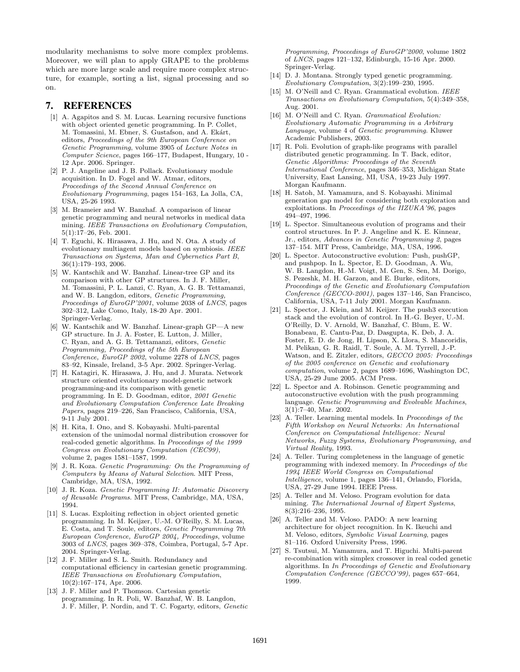modularity mechanisms to solve more complex problems. Moreover, we will plan to apply GRAPE to the problems which are more large scale and require more complex structure, for example, sorting a list, signal processing and so on.

#### **7. REFERENCES**

- [1] A. Agapitos and S. M. Lucas. Learning recursive functions with object oriented genetic programming. In P. Collet, M. Tomassini, M. Ebner, S. Gustafson, and A. Ekárt, editors, *Proceedings of the 9th European Conference on Genetic Programming*, volume 3905 of *Lecture Notes in Computer Science*, pages 166–177, Budapest, Hungary, 10 - 12 Apr. 2006. Springer.
- [2] P. J. Angeline and J. B. Pollack. Evolutionary module acquisition. In D. Fogel and W. Atmar, editors, *Proceedings of the Second Annual Conference on Evolutionary Programming*, pages 154–163, La Jolla, CA, USA, 25-26 1993.
- [3] M. Brameier and W. Banzhaf. A comparison of linear genetic programming and neural networks in medical data mining. *IEEE Transactions on Evolutionary Computation*, 5(1):17–26, Feb. 2001.
- [4] T. Eguchi, K. Hirasawa, J. Hu, and N. Ota. A study of evolutionary multiagent models based on symbiosis. *IEEE Transactions on Systems, Man and Cybernetics Part B*, 36(1):179–193, 2006.
- [5] W. Kantschik and W. Banzhaf. Linear-tree GP and its comparison with other GP structures. In J. F. Miller, M. Tomassini, P. L. Lanzi, C. Ryan, A. G. B. Tettamanzi, and W. B. Langdon, editors, *Genetic Programming, Proceedings of EuroGP'2001*, volume 2038 of *LNCS*, pages 302–312, Lake Como, Italy, 18-20 Apr. 2001. Springer-Verlag.
- [6] W. Kantschik and W. Banzhaf. Linear-graph GP—A new GP structure. In J. A. Foster, E. Lutton, J. Miller, C. Ryan, and A. G. B. Tettamanzi, editors, *Genetic Programming, Proceedings of the 5th European Conference, EuroGP 2002*, volume 2278 of *LNCS*, pages 83–92, Kinsale, Ireland, 3-5 Apr. 2002. Springer-Verlag.
- [7] H. Katagiri, K. Hirasawa, J. Hu, and J. Murata. Network structure oriented evolutionary model-genetic network programming-and its comparison with genetic programming. In E. D. Goodman, editor, *2001 Genetic and Evolutionary Computation Conference Late Breaking Papers*, pages 219–226, San Francisco, California, USA, 9-11 July 2001.
- [8] H. Kita, I. Ono, and S. Kobayashi. Multi-parental extension of the unimodal normal distribution crossover for real-coded genetic algorithms. In *Proceedings of the 1999 Congress on Evolutionary Computation (CEC99)*, volume 2, pages 1581–1587, 1999.
- [9] J. R. Koza. *Genetic Programming: On the Programming of Computers by Means of Natural Selection*. MIT Press, Cambridge, MA, USA, 1992.
- [10] J. R. Koza. *Genetic Programming II: Automatic Discovery of Reusable Programs*. MIT Press, Cambridge, MA, USA, 1994.
- [11] S. Lucas. Exploiting reflection in object oriented genetic programming. In M. Keijzer, U.-M. O'Reilly, S. M. Lucas, E. Costa, and T. Soule, editors, *Genetic Programming 7th European Conference, EuroGP 2004, Proceedings*, volume 3003 of *LNCS*, pages 369–378, Coimbra, Portugal, 5-7 Apr. 2004. Springer-Verlag.
- [12] J. F. Miller and S. L. Smith. Redundancy and computational efficiency in cartesian genetic programming. *IEEE Transactions on Evolutionary Computation*, 10(2):167–174, Apr. 2006.
- [13] J. F. Miller and P. Thomson. Cartesian genetic programming. In R. Poli, W. Banzhaf, W. B. Langdon, J. F. Miller, P. Nordin, and T. C. Fogarty, editors, *Genetic*

*Programming, Proceedings of EuroGP'2000*, volume 1802 of *LNCS*, pages 121–132, Edinburgh, 15-16 Apr. 2000. Springer-Verlag.

- [14] D. J. Montana. Strongly typed genetic programming. *Evolutionary Computation*, 3(2):199–230, 1995.
- [15] M. O'Neill and C. Ryan. Grammatical evolution. *IEEE Transactions on Evolutionary Computation*, 5(4):349–358, Aug. 2001.
- [16] M. O'Neill and C. Ryan. *Grammatical Evolution: Evolutionary Automatic Programming in a Arbitrary Language*, volume 4 of *Genetic programming*. Kluwer Academic Publishers, 2003.
- [17] R. Poli. Evolution of graph-like programs with parallel distributed genetic programming. In T. Back, editor, *Genetic Algorithms: Proceedings of the Seventh International Conference*, pages 346–353, Michigan State University, East Lansing, MI, USA, 19-23 July 1997. Morgan Kaufmann.
- [18] H. Satoh, M. Yamamura, and S. Kobayashi. Minimal generation gap model for considering both exploration and exploitations. In *Proceedings of the IIZUKA'96*, pages 494–497, 1996.
- [19] L. Spector. Simultaneous evolution of programs and their control structures. In P. J. Angeline and K. E. Kinnear, Jr., editors, *Advances in Genetic Programming 2*, pages 137–154. MIT Press, Cambridge, MA, USA, 1996.
- [20] L. Spector. Autoconstructive evolution: Push, pushGP, and pushpop. In L. Spector, E. D. Goodman, A. Wu, W. B. Langdon, H.-M. Voigt, M. Gen, S. Sen, M. Dorigo, S. Pezeshk, M. H. Garzon, and E. Burke, editors, *Proceedings of the Genetic and Evolutionary Computation Conference (GECCO-2001)*, pages 137–146, San Francisco, California, USA, 7-11 July 2001. Morgan Kaufmann.
- [21] L. Spector, J. Klein, and M. Keijzer. The push3 execution stack and the evolution of control. In H.-G. Beyer, U.-M. O'Reilly, D. V. Arnold, W. Banzhaf, C. Blum, E. W. Bonabeau, E. Cantu-Paz, D. Dasgupta, K. Deb, J. A. Foster, E. D. de Jong, H. Lipson, X. Llora, S. Mancoridis, M. Pelikan, G. R. Raidl, T. Soule, A. M. Tyrrell, J.-P. Watson, and E. Zitzler, editors, *GECCO 2005: Proceedings of the 2005 conference on Genetic and evolutionary computation*, volume 2, pages 1689–1696, Washington DC, USA, 25-29 June 2005. ACM Press.
- [22] L. Spector and A. Robinson. Genetic programming and autoconstructive evolution with the push programming language. *Genetic Programming and Evolvable Machines*, 3(1):7–40, Mar. 2002.
- [23] A. Teller. Learning mental models. In *Proceedings of the Fifth Workshop on Neural Networks: An International Conference on Computational Intelligence: Neural Networks, Fuzzy Systems, Evolutionary Programming, and Virtual Reality*, 1993.
- [24] A. Teller. Turing completeness in the language of genetic programming with indexed memory. In *Proceedings of the 1994 IEEE World Congress on Computational Intelligence*, volume 1, pages 136–141, Orlando, Florida, USA, 27-29 June 1994. IEEE Press.
- [25] A. Teller and M. Veloso. Program evolution for data mining. *The International Journal of Expert Systems*, 8(3):216–236, 1995.
- [26] A. Teller and M. Veloso. PADO: A new learning architecture for object recognition. In K. Ikeuchi and M. Veloso, editors, *Symbolic Visual Learning*, pages 81–116. Oxford University Press, 1996.
- [27] S. Tsutsui, M. Yamamura, and T. Higuchi. Multi-parent re-combination with simplex crossover in real coded genetic algorithms. In *In Proceedings of Genetic and Evolutionary Computation Conference (GECCO'99)*, pages 657–664, 1999.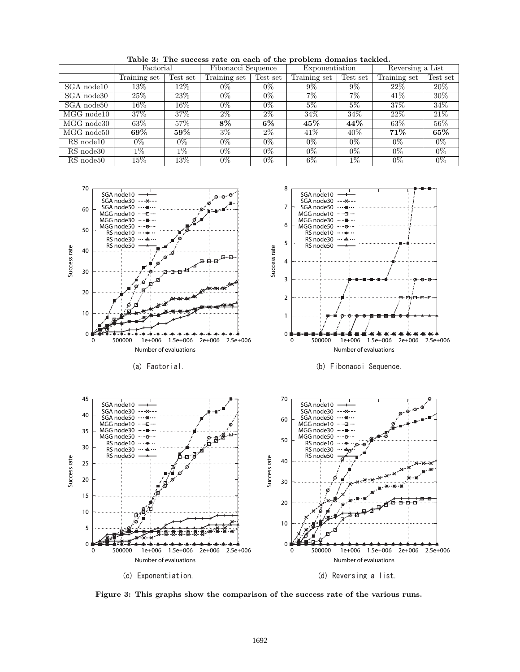|                             | Factorial    |          | Fibonacci Sequence |          | Exponentiation |          | Reversing a List |          |
|-----------------------------|--------------|----------|--------------------|----------|----------------|----------|------------------|----------|
|                             | Training set | Test set | Training set       | Test set | Training set   | Test set | Training set     | Test set |
| SGA node10                  | $13\%$       | $12\%$   | $0\%$              | $0\%$    | $9\%$          | $9\%$    | $22\%$           | 20%      |
| SGA node30                  | 25%          | 23%      | $0\%$              | $0\%$    | $7\%$          | $7\%$    | 41\%             | $30\%$   |
| SGA node50                  | $16\%$       | $16\%$   | $0\%$              | $0\%$    | $5\%$          | $5\%$    | 37%              | 34%      |
| MGG node10                  | 37\%         | 37\%     | $2\%$              | $2\%$    | 34\%           | 34\%     | 22%              | 21%      |
| $\overline{\rm MGG}$ node30 | 63%          | 57%      | $8\%$              | $6\%$    | 45%            | 44%      | 63%              | 56%      |
| MGG node50                  | 69%          | $59\%$   | $3\%$              | $2\%$    | 41\%           | $40\%$   | 71\%             | 65%      |
| RS node 10                  | $0\%$        | $0\%$    | $0\%$              | $0\%$    | $0\%$          | $0\%$    | $0\%$            | $0\%$    |
| RS node30                   | $1\%$        | $1\%$    | $0\%$              | $0\%$    | $0\%$          | $0\%$    | $0\%$            | $0\%$    |
| RS node50                   | $15\%$       | $13\%$   | $0\%$              | $0\%$    | $6\%$          | $1\%$    | $0\%$            | $0\%$    |

**Table 3: The success rate on each of the problem domains tackled.**



**Figure 3: This graphs show the comparison of the success rate of the various runs.**